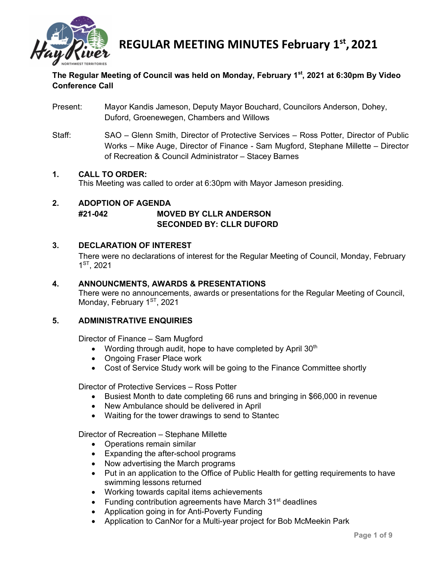

# **The Regular Meeting of Council was held on Monday, February 1st, 2021 at 6:30pm By Video Conference Call**

- Present: Mayor Kandis Jameson, Deputy Mayor Bouchard, Councilors Anderson, Dohey, Duford, Groenewegen, Chambers and Willows
- Staff: SAO Glenn Smith, Director of Protective Services Ross Potter, Director of Public Works – Mike Auge, Director of Finance - Sam Mugford, Stephane Millette – Director of Recreation & Council Administrator – Stacey Barnes

## **1. CALL TO ORDER:**

This Meeting was called to order at 6:30pm with Mayor Jameson presiding.

## **2. ADOPTION OF AGENDA #21-042 MOVED BY CLLR ANDERSON SECONDED BY: CLLR DUFORD**

## **3. DECLARATION OF INTEREST**

There were no declarations of interest for the Regular Meeting of Council, Monday, February 1ST, 2021

#### **4. ANNOUNCMENTS, AWARDS & PRESENTATIONS**

There were no announcements, awards or presentations for the Regular Meeting of Council, Monday, February 1<sup>ST</sup>, 2021

#### **5. ADMINISTRATIVE ENQUIRIES**

Director of Finance – Sam Mugford

- Wording through audit, hope to have completed by April  $30<sup>th</sup>$
- Ongoing Fraser Place work
- Cost of Service Study work will be going to the Finance Committee shortly

Director of Protective Services – Ross Potter

- Busiest Month to date completing 66 runs and bringing in \$66,000 in revenue
- New Ambulance should be delivered in April
- Waiting for the tower drawings to send to Stantec

Director of Recreation – Stephane Millette

- Operations remain similar
- Expanding the after-school programs
- Now advertising the March programs
- Put in an application to the Office of Public Health for getting requirements to have swimming lessons returned
- Working towards capital items achievements
- Funding contribution agreements have March  $31<sup>st</sup>$  deadlines
- Application going in for Anti-Poverty Funding
- Application to CanNor for a Multi-year project for Bob McMeekin Park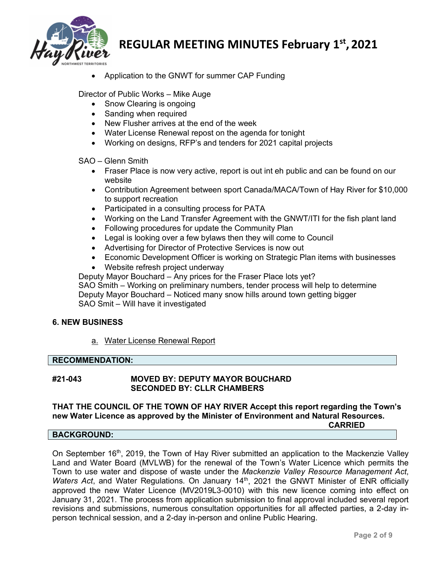

• Application to the GNWT for summer CAP Funding

Director of Public Works – Mike Auge

- Snow Clearing is ongoing
- Sanding when required
- New Flusher arrives at the end of the week
- Water License Renewal repost on the agenda for tonight
- Working on designs, RFP's and tenders for 2021 capital projects

SAO – Glenn Smith

- Fraser Place is now very active, report is out int eh public and can be found on our website
- Contribution Agreement between sport Canada/MACA/Town of Hay River for \$10,000 to support recreation
- Participated in a consulting process for PATA
- Working on the Land Transfer Agreement with the GNWT/ITI for the fish plant land
- Following procedures for update the Community Plan
- Legal is looking over a few bylaws then they will come to Council
- Advertising for Director of Protective Services is now out
- Economic Development Officer is working on Strategic Plan items with businesses
- Website refresh project underway

Deputy Mayor Bouchard – Any prices for the Fraser Place lots yet? SAO Smith – Working on preliminary numbers, tender process will help to determine Deputy Mayor Bouchard – Noticed many snow hills around town getting bigger SAO Smit – Will have it investigated

#### **6. NEW BUSINESS**

a. Water License Renewal Report

#### **RECOMMENDATION:**

#### **#21-043 MOVED BY: DEPUTY MAYOR BOUCHARD SECONDED BY: CLLR CHAMBERS**

# **THAT THE COUNCIL OF THE TOWN OF HAY RIVER Accept this report regarding the Town's new Water Licence as approved by the Minister of Environment and Natural Resources.**

**CARRIED**

#### **BACKGROUND:**

On September  $16<sup>th</sup>$ , 2019, the Town of Hay River submitted an application to the Mackenzie Valley Land and Water Board (MVLWB) for the renewal of the Town's Water Licence which permits the Town to use water and dispose of waste under the *Mackenzie Valley Resource Management Act*, *Waters Act*, and Water Regulations. On January 14<sup>th</sup>, 2021 the GNWT Minister of ENR officially approved the new Water Licence (MV2019L3-0010) with this new licence coming into effect on January 31, 2021. The process from application submission to final approval included several report revisions and submissions, numerous consultation opportunities for all affected parties, a 2-day inperson technical session, and a 2-day in-person and online Public Hearing.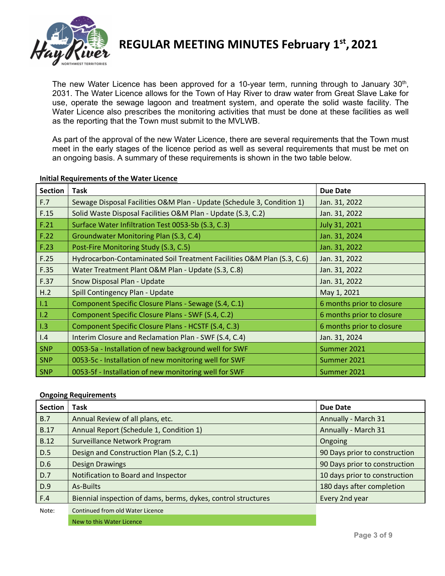

The new Water Licence has been approved for a 10-year term, running through to January 30<sup>th</sup>, 2031. The Water Licence allows for the Town of Hay River to draw water from Great Slave Lake for use, operate the sewage lagoon and treatment system, and operate the solid waste facility. The Water Licence also prescribes the monitoring activities that must be done at these facilities as well as the reporting that the Town must submit to the MVLWB.

As part of the approval of the new Water Licence, there are several requirements that the Town must meet in the early stages of the licence period as well as several requirements that must be met on an ongoing basis. A summary of these requirements is shown in the two table below.

| <b>Section</b> | <b>Task</b>                                                            | <b>Due Date</b>           |
|----------------|------------------------------------------------------------------------|---------------------------|
| F.7            | Sewage Disposal Facilities O&M Plan - Update (Schedule 3, Condition 1) | Jan. 31, 2022             |
| F.15           | Solid Waste Disposal Facilities O&M Plan - Update (S.3, C.2)           | Jan. 31, 2022             |
| F.21           | Surface Water Infiltration Test 0053-5b (S.3, C.3)                     | July 31, 2021             |
| F.22           | Groundwater Monitoring Plan (S.3, C.4)                                 | Jan. 31, 2024             |
| F.23           | Post-Fire Monitoring Study (S.3, C.5)                                  | Jan. 31, 2022             |
| F.25           | Hydrocarbon-Contaminated Soil Treatment Facilities O&M Plan (S.3, C.6) | Jan. 31, 2022             |
| F.35           | Water Treatment Plant O&M Plan - Update (S.3, C.8)                     | Jan. 31, 2022             |
| F.37           | Snow Disposal Plan - Update                                            | Jan. 31, 2022             |
| H.2            | Spill Contingency Plan - Update                                        | May 1, 2021               |
| 1.1            | Component Specific Closure Plans - Sewage (S.4, C.1)                   | 6 months prior to closure |
| 1.2            | Component Specific Closure Plans - SWF (S.4, C.2)                      | 6 months prior to closure |
| 1.3            | Component Specific Closure Plans - HCSTF (S.4, C.3)                    | 6 months prior to closure |
| 1.4            | Interim Closure and Reclamation Plan - SWF (S.4, C.4)                  | Jan. 31, 2024             |
| <b>SNP</b>     | 0053-5a - Installation of new background well for SWF                  | Summer 2021               |
| <b>SNP</b>     | 0053-5c - Installation of new monitoring well for SWF                  | Summer 2021               |
| <b>SNP</b>     | 0053-5f - Installation of new monitoring well for SWF                  | Summer 2021               |

#### **Initial Requirements of the Water Licence**

#### **Ongoing Requirements**

| <b>Section</b> | Task                                                          | <b>Due Date</b>               |
|----------------|---------------------------------------------------------------|-------------------------------|
| B.7            | Annual Review of all plans, etc.                              | Annually - March 31           |
| <b>B.17</b>    | Annual Report (Schedule 1, Condition 1)                       | Annually - March 31           |
| <b>B.12</b>    | Surveillance Network Program                                  | Ongoing                       |
| D.5            | Design and Construction Plan (S.2, C.1)                       | 90 Days prior to construction |
| D.6            | <b>Design Drawings</b>                                        | 90 Days prior to construction |
| D.7            | Notification to Board and Inspector                           | 10 days prior to construction |
| D.9            | As-Builts                                                     | 180 days after completion     |
| F.4            | Biennial inspection of dams, berms, dykes, control structures | Every 2nd year                |
| Note:          | Continued from old Water Licence                              |                               |
|                | New to this Water Licence                                     |                               |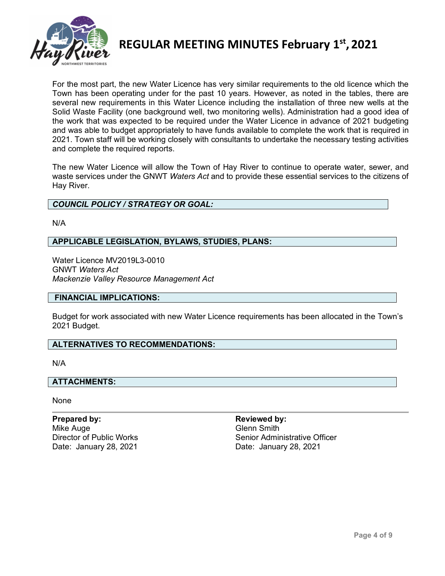

For the most part, the new Water Licence has very similar requirements to the old licence which the Town has been operating under for the past 10 years. However, as noted in the tables, there are several new requirements in this Water Licence including the installation of three new wells at the Solid Waste Facility (one background well, two monitoring wells). Administration had a good idea of the work that was expected to be required under the Water Licence in advance of 2021 budgeting and was able to budget appropriately to have funds available to complete the work that is required in 2021. Town staff will be working closely with consultants to undertake the necessary testing activities and complete the required reports.

The new Water Licence will allow the Town of Hay River to continue to operate water, sewer, and waste services under the GNWT *Waters Act* and to provide these essential services to the citizens of Hay River.

## *COUNCIL POLICY / STRATEGY OR GOAL:*

N/A

## **APPLICABLE LEGISLATION, BYLAWS, STUDIES, PLANS:**

Water Licence MV2019L3-0010 GNWT *Waters Act Mackenzie Valley Resource Management Act*

#### **FINANCIAL IMPLICATIONS:**

Budget for work associated with new Water Licence requirements has been allocated in the Town's 2021 Budget.

#### **ALTERNATIVES TO RECOMMENDATIONS:**

N/A

#### **ATTACHMENTS:**

None

**Prepared by: Reviewed by: Reviewed by: Reviewed by: Reviewed by: Reviewed by: Reviewed by: Reviewed by: Reviewed by: Reviewed by: Reviewed by: Reviewed by: Reviewed by: Reviewed by: Reviewed by** Mike Auge Date: January 28, 2021 Date: January 28, 2021

Director of Public Works **Senior Administrative Officer** Senior Administrative Officer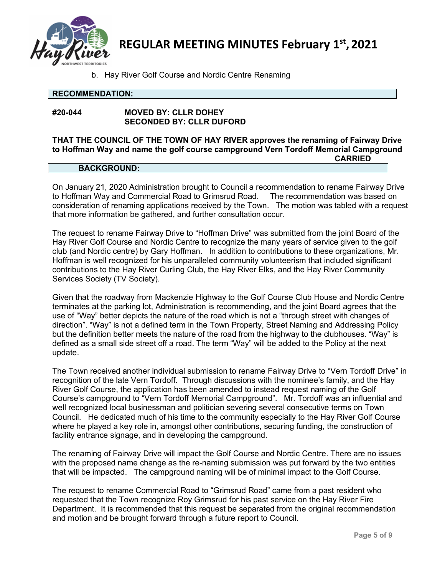

b. Hay River Golf Course and Nordic Centre Renaming

#### **RECOMMENDATION:**

## **#20-044 MOVED BY: CLLR DOHEY SECONDED BY: CLLR DUFORD**

#### **THAT THE COUNCIL OF THE TOWN OF HAY RIVER approves the renaming of Fairway Drive to Hoffman Way and name the golf course campground Vern Tordoff Memorial Campground CARRIED**

## **BACKGROUND:**

On January 21, 2020 Administration brought to Council a recommendation to rename Fairway Drive to Hoffman Way and Commercial Road to Grimsrud Road. The recommendation was based on consideration of renaming applications received by the Town. The motion was tabled with a request that more information be gathered, and further consultation occur.

The request to rename Fairway Drive to "Hoffman Drive" was submitted from the joint Board of the Hay River Golf Course and Nordic Centre to recognize the many years of service given to the golf club (and Nordic centre) by Gary Hoffman. In addition to contributions to these organizations, Mr. Hoffman is well recognized for his unparalleled community volunteerism that included significant contributions to the Hay River Curling Club, the Hay River Elks, and the Hay River Community Services Society (TV Society).

Given that the roadway from Mackenzie Highway to the Golf Course Club House and Nordic Centre terminates at the parking lot, Administration is recommending, and the joint Board agrees that the use of "Way" better depicts the nature of the road which is not a "through street with changes of direction". "Way" is not a defined term in the Town Property, Street Naming and Addressing Policy but the definition better meets the nature of the road from the highway to the clubhouses. "Way" is defined as a small side street off a road. The term "Way" will be added to the Policy at the next update.

The Town received another individual submission to rename Fairway Drive to "Vern Tordoff Drive" in recognition of the late Vern Tordoff. Through discussions with the nominee's family, and the Hay River Golf Course, the application has been amended to instead request naming of the Golf Course's campground to "Vern Tordoff Memorial Campground". Mr. Tordoff was an influential and well recognized local businessman and politician severing several consecutive terms on Town Council. He dedicated much of his time to the community especially to the Hay River Golf Course where he played a key role in, amongst other contributions, securing funding, the construction of facility entrance signage, and in developing the campground.

The renaming of Fairway Drive will impact the Golf Course and Nordic Centre. There are no issues with the proposed name change as the re-naming submission was put forward by the two entities that will be impacted. The campground naming will be of minimal impact to the Golf Course.

The request to rename Commercial Road to "Grimsrud Road" came from a past resident who requested that the Town recognize Roy Grimsrud for his past service on the Hay River Fire Department. It is recommended that this request be separated from the original recommendation and motion and be brought forward through a future report to Council.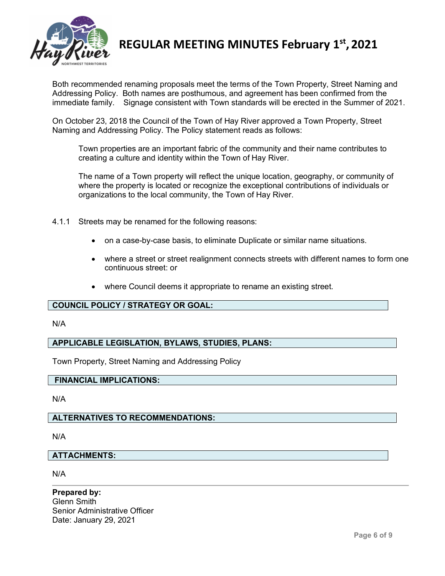

Both recommended renaming proposals meet the terms of the Town Property, Street Naming and Addressing Policy. Both names are posthumous, and agreement has been confirmed from the immediate family. Signage consistent with Town standards will be erected in the Summer of 2021.

On October 23, 2018 the Council of the Town of Hay River approved a Town Property, Street Naming and Addressing Policy. The Policy statement reads as follows:

Town properties are an important fabric of the community and their name contributes to creating a culture and identity within the Town of Hay River.

The name of a Town property will reflect the unique location, geography, or community of where the property is located or recognize the exceptional contributions of individuals or organizations to the local community, the Town of Hay River.

- 4.1.1 Streets may be renamed for the following reasons:
	- on a case-by-case basis, to eliminate Duplicate or similar name situations.
	- where a street or street realignment connects streets with different names to form one continuous street: or
	- where Council deems it appropriate to rename an existing street.

## **COUNCIL POLICY / STRATEGY OR GOAL:**

#### N/A

#### **APPLICABLE LEGISLATION, BYLAWS, STUDIES, PLANS:**

Town Property, Street Naming and Addressing Policy

## **FINANCIAL IMPLICATIONS:**

N/A

## **ALTERNATIVES TO RECOMMENDATIONS:**

N/A

#### **ATTACHMENTS:**

N/A

**Prepared by:** Glenn Smith Senior Administrative Officer Date: January 29, 2021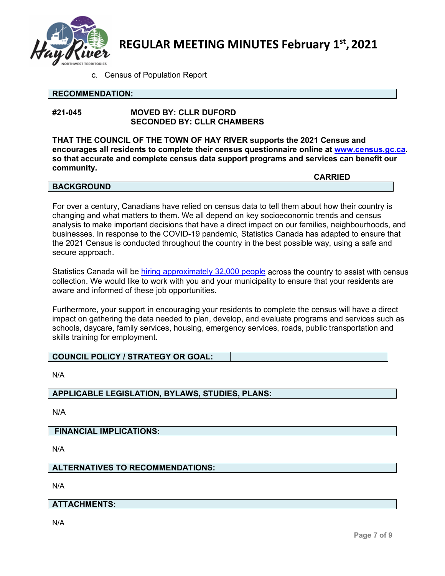

c. Census of Population Report

#### **RECOMMENDATION:**

## **#21-045 MOVED BY: CLLR DUFORD SECONDED BY: CLLR CHAMBERS**

**THAT THE COUNCIL OF THE TOWN OF HAY RIVER supports the 2021 Census and encourages all residents to complete their census questionnaire online at [www.census.gc.ca.](http://www.census.gc.ca/) so that accurate and complete census data support programs and services can benefit our community.**

#### **BACKGROUND**

**CARRIED**

For over a century, Canadians have relied on census data to tell them about how their country is changing and what matters to them. We all depend on key socioeconomic trends and census analysis to make important decisions that have a direct impact on our families, neighbourhoods, and businesses. In response to the COVID-19 pandemic, Statistics Canada has adapted to ensure that the 2021 Census is conducted throughout the country in the best possible way, using a safe and secure approach.

Statistics Canada will be [hiring approximately 32,000 people](http://www.census.gc.ca/jobs) across the country to assist with census collection. We would like to work with you and your municipality to ensure that your residents are aware and informed of these job opportunities.

Furthermore, your support in encouraging your residents to complete the census will have a direct impact on gathering the data needed to plan, develop, and evaluate programs and services such as schools, daycare, family services, housing, emergency services, roads, public transportation and skills training for employment.

# **COUNCIL POLICY / STRATEGY OR GOAL:**

N/A

## **APPLICABLE LEGISLATION, BYLAWS, STUDIES, PLANS:**

N/A

## **FINANCIAL IMPLICATIONS:**

N/A

## **ALTERNATIVES TO RECOMMENDATIONS:**

N/A

## **ATTACHMENTS:**

N/A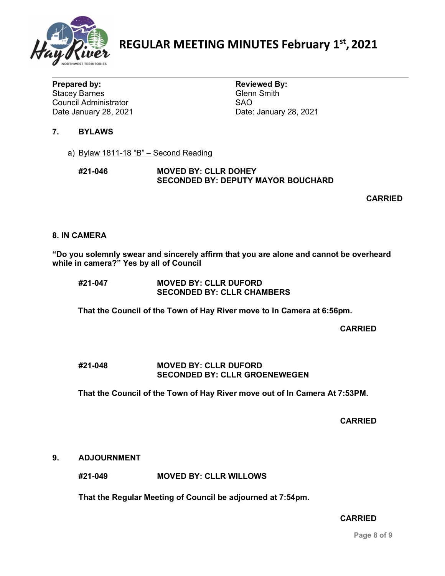

**Prepared by: Reviewed By: Reviewed By: Reviewed By: Reviewed By: Reviewed By: Reviewed By: Reviewed By: Reviewed By: Reviewed By: Reviewed By: Reviewed By: Reviewed By: Reviewed By: Reviewed By Stacey Barnes** Council Administrator<br>
Date January 28, 2021

Date: January 28, 2021

# **7. BYLAWS**

a) Bylaw 1811-18 "B" – Second Reading

## **#21-046 MOVED BY: CLLR DOHEY SECONDED BY: DEPUTY MAYOR BOUCHARD**

**CARRIED**

## **8. IN CAMERA**

**"Do you solemnly swear and sincerely affirm that you are alone and cannot be overheard while in camera?" Yes by all of Council** 

| #21-047 | <b>MOVED BY: CLLR DUFORD</b>      |
|---------|-----------------------------------|
|         | <b>SECONDED BY: CLLR CHAMBERS</b> |

**That the Council of the Town of Hay River move to In Camera at 6:56pm.**

**CARRIED**

## **#21-048 MOVED BY: CLLR DUFORD SECONDED BY: CLLR GROENEWEGEN**

**That the Council of the Town of Hay River move out of In Camera At 7:53PM.**

**CARRIED**

## **9. ADJOURNMENT**

**#21-049 MOVED BY: CLLR WILLOWS**

**That the Regular Meeting of Council be adjourned at 7:54pm.**

## **CARRIED**